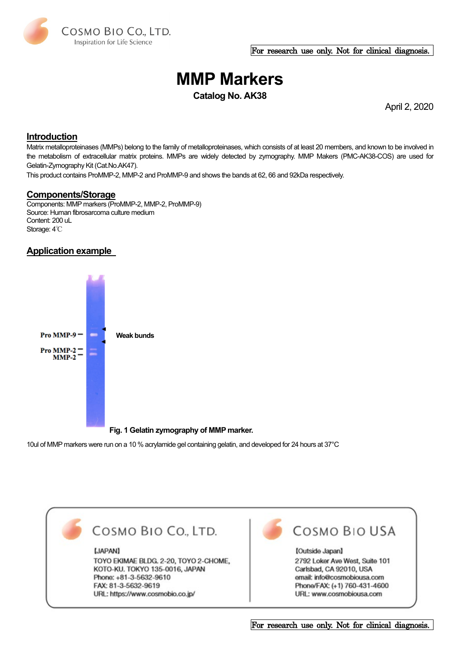

#### For research use only. Not for clinical diagnosis.

# **MMP Markers**

**Catalog No. AK38**

April 2, 2020

### **Introduction**

Matrix metalloproteinases (MMPs) belong to the family of metalloproteinases, which consists of at least 20 members, and known to be involved in the metabolism of [extracellular matrix](http://en.wikipedia.org/wiki/Extracellular_matrix) proteins. MMPs are widely detected by zymography. MMP Makers (PMC-AK38-COS) are used for Gelatin-Zymography Kit (Cat.No.AK47).

This product contains ProMMP-2, MMP-2 and ProMMP-9 and shows the bands at 62, 66 and 92kDa respectively.

#### **Components/Storage**

Components: MMP markers (ProMMP-2, MMP-2, ProMMP-9) Source: Human fibrosarcoma culture medium Content: 200 uL Storage: 4℃

## **Application example**



**Fig. 1 Gelatin zymography of MMP marker.**

10ul of MMP markers were run on a 10 % acrylamide gel containing gelatin, and developed for 24 hours at 37°C



For research use only. Not for clinical diagnosis.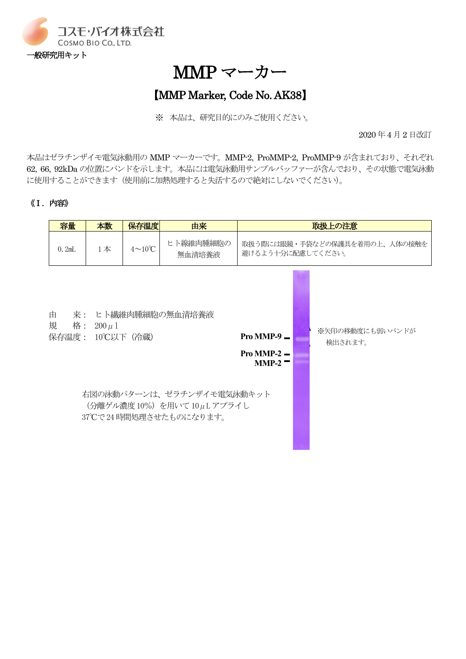

MMP マーカー

# 【MMP Marker, Code No. AK38】

※ 本品は、研究目的にのみご使用ください。

2020 年4 月2 日改訂

本品はゼラチンザイモ電気泳動用の MMP マーカーです。MMP-2, ProMMP-2, ProMMP-9 が含まれており、それぞれ 62, 66, 92kDa の位置にバンドを示します。本品には電気泳動用サンプルバッファーが含んでおり、その状態で電気泳動 に使用することができます(使用前に加熱処理すると失活するので絶対にしないでください)。

# 《Ⅰ.内容》

|                                                                                                                              | 容量    | 本数    | 保存温度                 | 由来                  | 取扱上の注意                                             |  |                            |
|------------------------------------------------------------------------------------------------------------------------------|-------|-------|----------------------|---------------------|----------------------------------------------------|--|----------------------------|
|                                                                                                                              | 0.2mL | $1$ 本 | $4 \sim 10^{\circ}C$ | ヒト線維肉腫細胞の<br>無血清培養液 | 取扱う際には眼鏡・手袋などの保護具を着用の上、人体の接触を<br>避けるよう十分に配慮してください。 |  |                            |
| 来: ヒト繊維肉腫細胞の無血清培養液<br>由<br>規<br>格:<br>$200 \mu 1$<br>Pro MMP-9 $\blacksquare$<br>保存温度: 10℃以下(冷蔵)<br>Pro MMP-2 $-$<br>$MMP-2$ |       |       |                      |                     |                                                    |  | ※矢印の移動度にも弱いバンドが<br>検出されます。 |
| 右図の泳動パターンは、ゼラチンザイモ電気泳動キット<br>(分離ゲル濃度 10%) を用いて 10μL アプライし<br>37℃で24時間処理させたものになります。                                           |       |       |                      |                     |                                                    |  |                            |